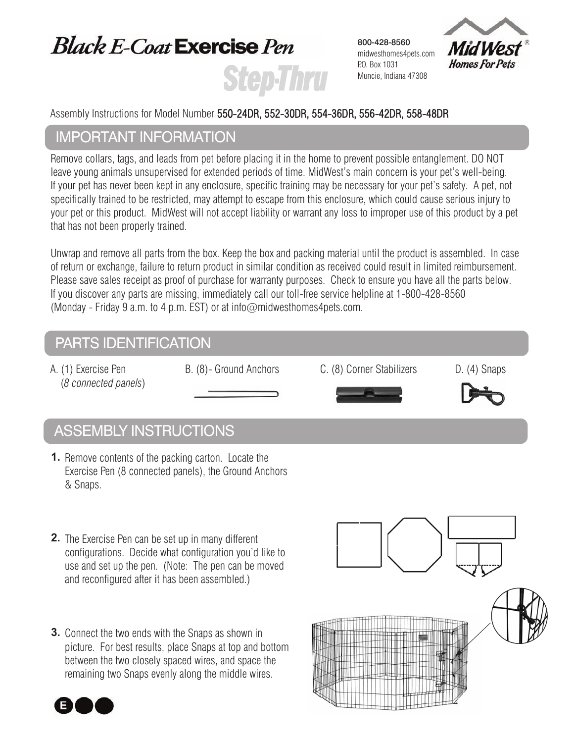# **Black E-Coat Exercise Pen Step Thru**

800-428-8560 midwesthomes4pets.com P.O. Box 1031 Muncie, Indiana 47308



Assembly Instructions for Model Number 550-24DR, 552-30DR, 554-36DR, 556-42DR, 558-48DR

### ImPortAnt InformAtIon

 Remove collars, tags, and leads from pet before placing it in the home to prevent possible entanglement. DO NOT leave young animals unsupervised for extended periods of time. MidWest's main concern is your pet's well-being. If your pet has never been kept in any enclosure, specific training may be necessary for your pet's safety. A pet, not specifically trained to be restricted, may attempt to escape from this enclosure, which could cause serious injury to your pet or this product. MidWest will not accept liability or warrant any loss to improper use of this product by a pet that has not been properly trained.

Unwrap and remove all parts from the box. Keep the box and packing material until the product is assembled. In case of return or exchange, failure to return product in similar condition as received could result in limited reimbursement. Please save sales receipt as proof of purchase for warranty purposes. Check to ensure you have all the parts below. If you discover any parts are missing, immediately call our toll-free service helpline at 1-800-428-8560 (Monday - Friday 9 a.m. to 4 p.m. EST) or at info@midwesthomes4pets.com.

## PARTS IDENTIFICATION

A. (1) Exercise Pen B. (8)- Ground Anchors C. (8) Corner Stabilizers D. (4) Snaps (*8 connected panels*)





## Assembly InstructIons

- **1.** Remove contents of the packing carton. Locate the Exercise Pen (8 connected panels), the Ground Anchors & Snaps.
- **2.** The Exercise Pen can be set up in many different configurations. Decide what configuration you'd like to use and set up the pen. (Note: The pen can be moved and reconfigured after it has been assembled.)
- **3.** Connect the two ends with the Snaps as shown in picture. For best results, place Snaps at top and bottom between the two closely spaced wires, and space the remaining two Snaps evenly along the middle wires.



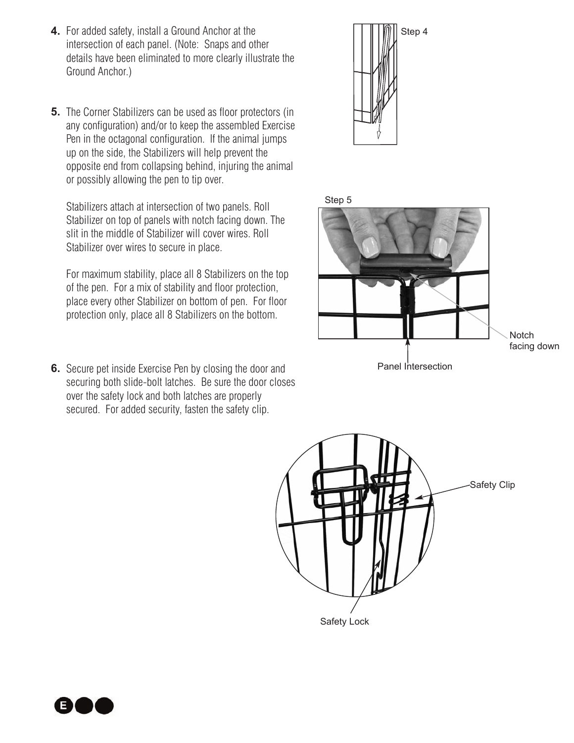- **4.** For added safety, install a Ground Anchor at the intersection of each panel. (Note: Snaps and other details have been eliminated to more clearly illustrate the Ground Anchor.)
- **5.** The Corner Stabilizers can be used as floor protectors (in any configuration) and/or to keep the assembled Exercise Pen in the octagonal configuration. If the animal jumps up on the side, the Stabilizers will help prevent the opposite end from collapsing behind, injuring the animal or possibly allowing the pen to tip over.

Stabilizers attach at intersection of two panels. Roll Stabilizer on top of panels with notch facing down. The slit in the middle of Stabilizer will cover wires. Roll Stabilizer over wires to secure in place.

For maximum stability, place all 8 Stabilizers on the top of the pen. For a mix of stability and floor protection, place every other Stabilizer on bottom of pen. For floor protection only, place all 8 Stabilizers on the bottom.

**6.** Secure pet inside Exercise Pen by closing the door and securing both slide-bolt latches. Be sure the door closes over the safety lock and both latches are properly secured. For added security, fasten the safety clip.